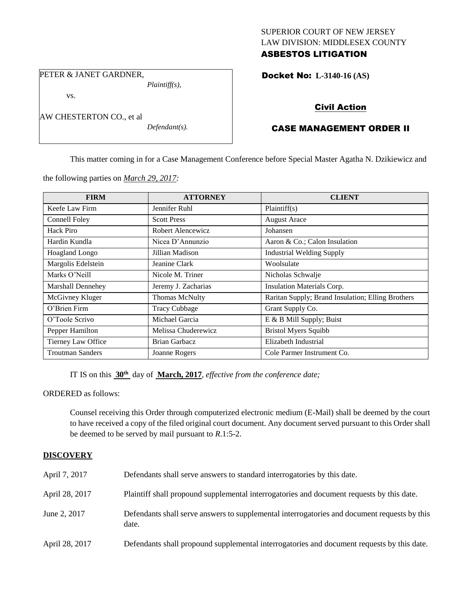# SUPERIOR COURT OF NEW JERSEY LAW DIVISION: MIDDLESEX COUNTY ASBESTOS LITIGATION

Docket No: **L-3140-16 (AS)** 

PETER & JANET GARDNER,

AW CHESTERTON CO., et al

vs.

*Plaintiff(s),*

*Defendant(s).*

Civil Action

# CASE MANAGEMENT ORDER II

This matter coming in for a Case Management Conference before Special Master Agatha N. Dzikiewicz and

the following parties on *March 29, 2017:*

| <b>FIRM</b>             | <b>ATTORNEY</b>       | <b>CLIENT</b>                                     |
|-------------------------|-----------------------|---------------------------------------------------|
| Keefe Law Firm          | Jennifer Ruhl         | Plaintiff(s)                                      |
| Connell Foley           | <b>Scott Press</b>    | <b>August Arace</b>                               |
| Hack Piro               | Robert Alencewicz     | Johansen                                          |
| Hardin Kundla           | Nicea D'Annunzio      | Aaron & Co.; Calon Insulation                     |
| <b>Hoagland Longo</b>   | Jillian Madison       | <b>Industrial Welding Supply</b>                  |
| Margolis Edelstein      | Jeanine Clark         | Woolsulate                                        |
| Marks O'Neill           | Nicole M. Triner      | Nicholas Schwalje                                 |
| Marshall Dennehey       | Jeremy J. Zacharias   | Insulation Materials Corp.                        |
| McGivney Kluger         | <b>Thomas McNulty</b> | Raritan Supply; Brand Insulation; Elling Brothers |
| O'Brien Firm            | <b>Tracy Cubbage</b>  | Grant Supply Co.                                  |
| O'Toole Scrivo          | Michael Garcia        | E & B Mill Supply; Buist                          |
| Pepper Hamilton         | Melissa Chuderewicz   | <b>Bristol Myers Squibb</b>                       |
| Tierney Law Office      | <b>Brian Garbacz</b>  | Elizabeth Industrial                              |
| <b>Troutman Sanders</b> | Joanne Rogers         | Cole Parmer Instrument Co.                        |

IT IS on this  $30<sup>th</sup>$  day of **March, 2017**, *effective from the conference date*;

ORDERED as follows:

Counsel receiving this Order through computerized electronic medium (E-Mail) shall be deemed by the court to have received a copy of the filed original court document. Any document served pursuant to this Order shall be deemed to be served by mail pursuant to *R*.1:5-2.

# **DISCOVERY**

| April 7, 2017  | Defendants shall serve answers to standard interrogatories by this date.                              |
|----------------|-------------------------------------------------------------------------------------------------------|
| April 28, 2017 | Plaintiff shall propound supplemental interrogatories and document requests by this date.             |
| June 2, 2017   | Defendants shall serve answers to supplemental interrogatories and document requests by this<br>date. |
| April 28, 2017 | Defendants shall propound supplemental interrogatories and document requests by this date.            |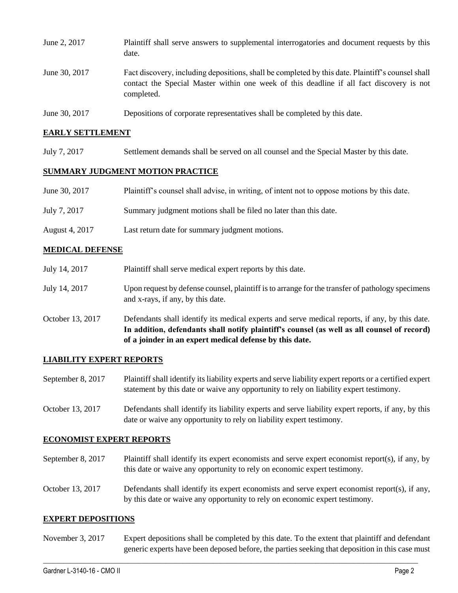| June 2, 2017  | Plaintiff shall serve answers to supplemental interrogatories and document requests by this<br>date.                                                                                                        |
|---------------|-------------------------------------------------------------------------------------------------------------------------------------------------------------------------------------------------------------|
| June 30, 2017 | Fact discovery, including depositions, shall be completed by this date. Plaintiff's counsel shall<br>contact the Special Master within one week of this deadline if all fact discovery is not<br>completed. |
| June 30, 2017 | Depositions of corporate representatives shall be completed by this date.                                                                                                                                   |

## **EARLY SETTLEMENT**

July 7, 2017 Settlement demands shall be served on all counsel and the Special Master by this date.

## **SUMMARY JUDGMENT MOTION PRACTICE**

| June 30, 2017  | Plaintiff's counsel shall advise, in writing, of intent not to oppose motions by this date. |
|----------------|---------------------------------------------------------------------------------------------|
| July 7, 2017   | Summary judgment motions shall be filed no later than this date.                            |
| August 4, 2017 | Last return date for summary judgment motions.                                              |

# **MEDICAL DEFENSE**

|                  | In addition, defendants shall notify plaintiff's counsel (as well as all counsel of record)<br>of a joinder in an expert medical defense by this date. |
|------------------|--------------------------------------------------------------------------------------------------------------------------------------------------------|
| October 13, 2017 | Defendants shall identify its medical experts and serve medical reports, if any, by this date.                                                         |
| July 14, 2017    | Upon request by defense counsel, plaintiff is to arrange for the transfer of pathology specimens<br>and x-rays, if any, by this date.                  |
| July 14, 2017    | Plaintiff shall serve medical expert reports by this date.                                                                                             |

### **LIABILITY EXPERT REPORTS**

September 8, 2017 Plaintiff shall identify its liability experts and serve liability expert reports or a certified expert statement by this date or waive any opportunity to rely on liability expert testimony.

October 13, 2017 Defendants shall identify its liability experts and serve liability expert reports, if any, by this date or waive any opportunity to rely on liability expert testimony.

### **ECONOMIST EXPERT REPORTS**

- September 8, 2017 Plaintiff shall identify its expert economists and serve expert economist report(s), if any, by this date or waive any opportunity to rely on economic expert testimony.
- October 13, 2017 Defendants shall identify its expert economists and serve expert economist report(s), if any, by this date or waive any opportunity to rely on economic expert testimony.

### **EXPERT DEPOSITIONS**

November 3, 2017 Expert depositions shall be completed by this date. To the extent that plaintiff and defendant generic experts have been deposed before, the parties seeking that deposition in this case must

 $\_$  ,  $\_$  ,  $\_$  ,  $\_$  ,  $\_$  ,  $\_$  ,  $\_$  ,  $\_$  ,  $\_$  ,  $\_$  ,  $\_$  ,  $\_$  ,  $\_$  ,  $\_$  ,  $\_$  ,  $\_$  ,  $\_$  ,  $\_$  ,  $\_$  ,  $\_$  ,  $\_$  ,  $\_$  ,  $\_$  ,  $\_$  ,  $\_$  ,  $\_$  ,  $\_$  ,  $\_$  ,  $\_$  ,  $\_$  ,  $\_$  ,  $\_$  ,  $\_$  ,  $\_$  ,  $\_$  ,  $\_$  ,  $\_$  ,